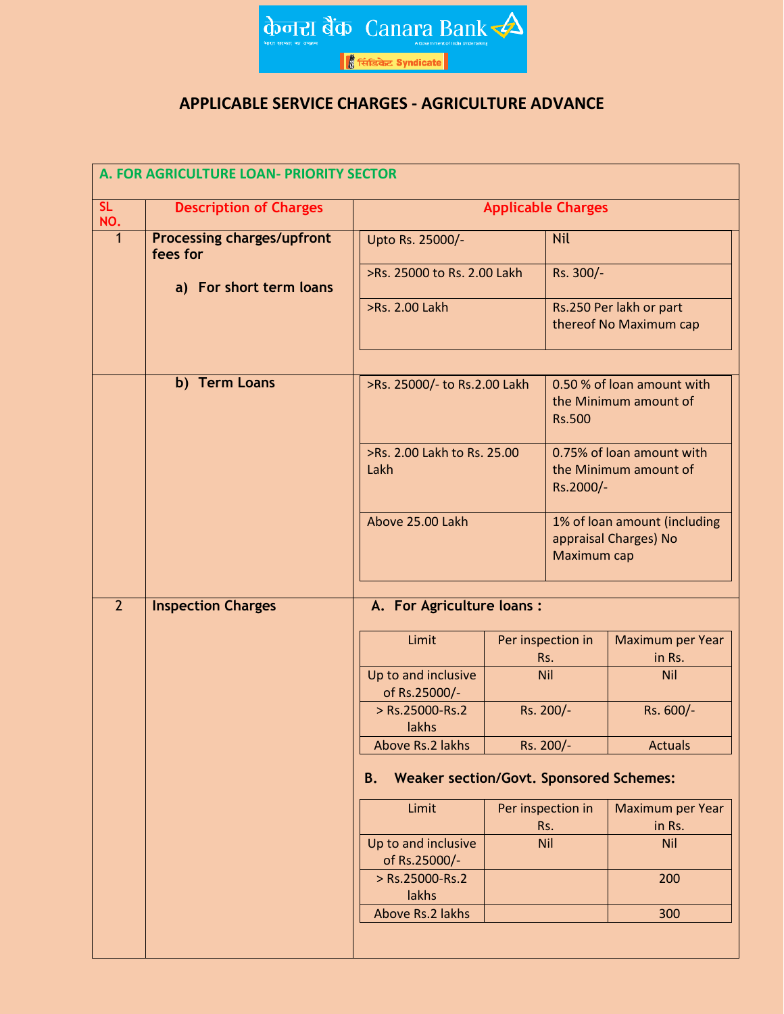

## **APPLICABLE SERVICE CHARGES - AGRICULTURE ADVANCE**

| A. FOR AGRICULTURE LOAN- PRIORITY SECTOR |                                               |                                                                     |                          |                                                                 |                                                       |  |  |
|------------------------------------------|-----------------------------------------------|---------------------------------------------------------------------|--------------------------|-----------------------------------------------------------------|-------------------------------------------------------|--|--|
| SL<br>NO.                                | <b>Description of Charges</b>                 | <b>Applicable Charges</b>                                           |                          |                                                                 |                                                       |  |  |
| $\mathbf 1$                              | <b>Processing charges/upfront</b><br>fees for | Upto Rs. 25000/-<br>>Rs. 25000 to Rs. 2.00 Lakh                     |                          | <b>Nil</b><br>Rs. 300/-                                         |                                                       |  |  |
|                                          | a) For short term loans                       |                                                                     |                          |                                                                 |                                                       |  |  |
|                                          |                                               | >Rs. 2.00 Lakh                                                      |                          |                                                                 | Rs.250 Per lakh or part<br>thereof No Maximum cap     |  |  |
|                                          | b) Term Loans                                 | >Rs. 25000/- to Rs.2.00 Lakh<br>>Rs. 2.00 Lakh to Rs. 25.00<br>Lakh |                          | 0.50 % of loan amount with<br>the Minimum amount of             |                                                       |  |  |
|                                          |                                               |                                                                     |                          | <b>Rs.500</b>                                                   |                                                       |  |  |
|                                          |                                               |                                                                     |                          | 0.75% of loan amount with<br>the Minimum amount of<br>Rs.2000/- |                                                       |  |  |
|                                          |                                               | Above 25.00 Lakh                                                    |                          | Maximum cap                                                     | 1% of loan amount (including<br>appraisal Charges) No |  |  |
| $\overline{2}$                           | <b>Inspection Charges</b>                     | A. For Agriculture loans :                                          |                          |                                                                 |                                                       |  |  |
|                                          |                                               | Limit                                                               |                          | Per inspection in<br>Rs.                                        | Maximum per Year<br>in Rs.                            |  |  |
|                                          |                                               | Up to and inclusive<br>of Rs.25000/-                                | <b>Nil</b><br>Rs. 200/-  |                                                                 | <b>Nil</b>                                            |  |  |
|                                          |                                               | > Rs.25000-Rs.2<br>lakhs                                            |                          |                                                                 | Rs. 600/-                                             |  |  |
|                                          |                                               | Above Rs.2 lakhs                                                    | Rs. 200/-                |                                                                 | <b>Actuals</b>                                        |  |  |
|                                          |                                               | <b>Weaker section/Govt. Sponsored Schemes:</b><br><b>B.</b>         |                          |                                                                 |                                                       |  |  |
|                                          |                                               | Limit                                                               | Per inspection in<br>Rs. |                                                                 | Maximum per Year<br>in Rs.                            |  |  |
|                                          |                                               | Up to and inclusive<br>of Rs.25000/-                                |                          | Nil                                                             | <b>Nil</b>                                            |  |  |
|                                          |                                               | > Rs.25000-Rs.2<br>lakhs                                            |                          |                                                                 | 200                                                   |  |  |
|                                          |                                               | Above Rs.2 lakhs                                                    |                          |                                                                 | 300                                                   |  |  |
|                                          |                                               |                                                                     |                          |                                                                 |                                                       |  |  |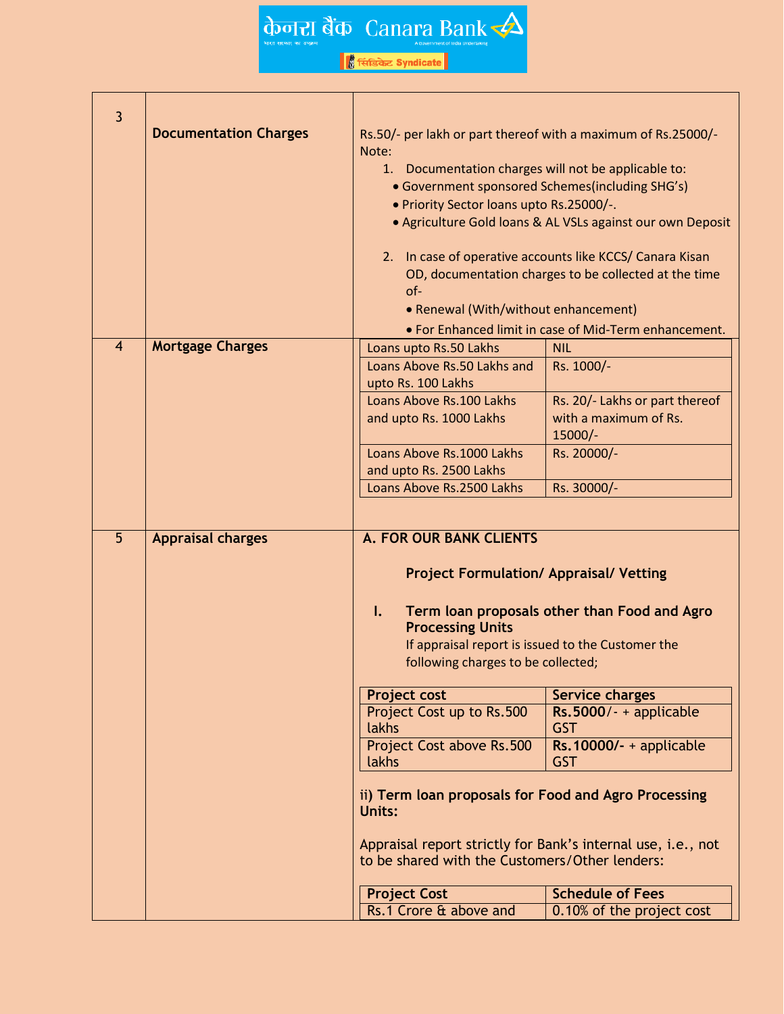के जाता बैंक Canara Bank

| $\overline{3}$ |                              |                                                                                                                                                                                                                                                                                                                                                                                                                                                                                                                            |                                                                                                                                                                                                                                                 |  |  |
|----------------|------------------------------|----------------------------------------------------------------------------------------------------------------------------------------------------------------------------------------------------------------------------------------------------------------------------------------------------------------------------------------------------------------------------------------------------------------------------------------------------------------------------------------------------------------------------|-------------------------------------------------------------------------------------------------------------------------------------------------------------------------------------------------------------------------------------------------|--|--|
|                | <b>Documentation Charges</b> | Rs.50/- per lakh or part thereof with a maximum of Rs.25000/-<br>Note:<br>1. Documentation charges will not be applicable to:<br>• Government sponsored Schemes(including SHG's)<br>. Priority Sector loans upto Rs.25000/-.<br>• Agriculture Gold loans & AL VSLs against our own Deposit<br>2. In case of operative accounts like KCCS/ Canara Kisan<br>OD, documentation charges to be collected at the time<br>$of -$<br>• Renewal (With/without enhancement)<br>. For Enhanced limit in case of Mid-Term enhancement. |                                                                                                                                                                                                                                                 |  |  |
| $\overline{4}$ | <b>Mortgage Charges</b>      | Loans upto Rs.50 Lakhs                                                                                                                                                                                                                                                                                                                                                                                                                                                                                                     | <b>NIL</b>                                                                                                                                                                                                                                      |  |  |
|                |                              | Loans Above Rs.50 Lakhs and<br>upto Rs. 100 Lakhs                                                                                                                                                                                                                                                                                                                                                                                                                                                                          | Rs. 1000/-                                                                                                                                                                                                                                      |  |  |
|                |                              | Loans Above Rs.100 Lakhs                                                                                                                                                                                                                                                                                                                                                                                                                                                                                                   | Rs. 20/- Lakhs or part thereof                                                                                                                                                                                                                  |  |  |
|                |                              | and upto Rs. 1000 Lakhs                                                                                                                                                                                                                                                                                                                                                                                                                                                                                                    | with a maximum of Rs.<br>$15000/-$                                                                                                                                                                                                              |  |  |
|                |                              | Loans Above Rs.1000 Lakhs                                                                                                                                                                                                                                                                                                                                                                                                                                                                                                  | Rs. 20000/-                                                                                                                                                                                                                                     |  |  |
|                |                              | and upto Rs. 2500 Lakhs                                                                                                                                                                                                                                                                                                                                                                                                                                                                                                    |                                                                                                                                                                                                                                                 |  |  |
|                |                              | Loans Above Rs.2500 Lakhs                                                                                                                                                                                                                                                                                                                                                                                                                                                                                                  | Rs. 30000/-                                                                                                                                                                                                                                     |  |  |
| 5              | <b>Appraisal charges</b>     | <b>A. FOR OUR BANK CLIENTS</b>                                                                                                                                                                                                                                                                                                                                                                                                                                                                                             |                                                                                                                                                                                                                                                 |  |  |
|                |                              | $\mathbf{I}$ .<br><b>Processing Units</b><br><b>Project cost</b><br>Project Cost up to Rs.500<br>lakhs                                                                                                                                                                                                                                                                                                                                                                                                                     | <b>Project Formulation/ Appraisal/ Vetting</b><br>Term loan proposals other than Food and Agro<br>If appraisal report is issued to the Customer the<br>following charges to be collected;<br><b>Service charges</b><br>$Rs.5000/- +$ applicable |  |  |
|                |                              | Project Cost above Rs.500                                                                                                                                                                                                                                                                                                                                                                                                                                                                                                  | <b>GST</b><br>$Rs.10000/- +$ applicable                                                                                                                                                                                                         |  |  |
|                |                              | lakhs<br><b>GST</b>                                                                                                                                                                                                                                                                                                                                                                                                                                                                                                        |                                                                                                                                                                                                                                                 |  |  |
|                |                              |                                                                                                                                                                                                                                                                                                                                                                                                                                                                                                                            |                                                                                                                                                                                                                                                 |  |  |
|                |                              | ii) Term loan proposals for Food and Agro Processing<br>Units:                                                                                                                                                                                                                                                                                                                                                                                                                                                             |                                                                                                                                                                                                                                                 |  |  |
|                |                              | Appraisal report strictly for Bank's internal use, i.e., not<br>to be shared with the Customers/Other lenders:                                                                                                                                                                                                                                                                                                                                                                                                             |                                                                                                                                                                                                                                                 |  |  |
|                |                              | <b>Project Cost</b>                                                                                                                                                                                                                                                                                                                                                                                                                                                                                                        | <b>Schedule of Fees</b>                                                                                                                                                                                                                         |  |  |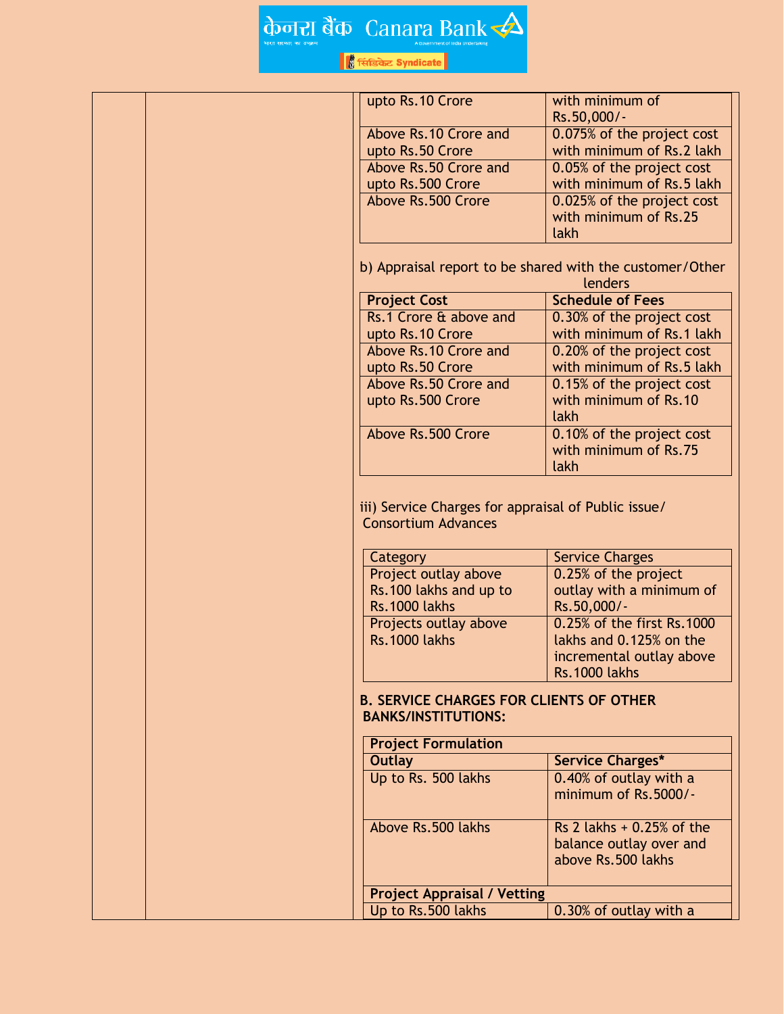## के जाता बैंक Canara Bank

| upto Rs. 10 Crore                                                                                          |                                                     |  |
|------------------------------------------------------------------------------------------------------------|-----------------------------------------------------|--|
|                                                                                                            | with minimum of                                     |  |
|                                                                                                            | Rs.50,000/-                                         |  |
| Above Rs.10 Crore and                                                                                      | 0.075% of the project cost                          |  |
| upto Rs.50 Crore                                                                                           | with minimum of Rs.2 lakh                           |  |
| Above Rs.50 Crore and                                                                                      | 0.05% of the project cost                           |  |
| upto Rs.500 Crore                                                                                          | with minimum of Rs.5 lakh                           |  |
| Above Rs.500 Crore                                                                                         | 0.025% of the project cost                          |  |
|                                                                                                            | with minimum of Rs.25                               |  |
|                                                                                                            | lakh                                                |  |
| b) Appraisal report to be shared with the customer/Other<br>lenders                                        |                                                     |  |
| <b>Project Cost</b>                                                                                        | <b>Schedule of Fees</b>                             |  |
| Rs.1 Crore & above and                                                                                     | 0.30% of the project cost                           |  |
| upto Rs. 10 Crore                                                                                          | with minimum of Rs.1 lakh                           |  |
| Above Rs.10 Crore and                                                                                      | 0.20% of the project cost                           |  |
| upto Rs.50 Crore                                                                                           | with minimum of Rs.5 lakh                           |  |
| Above Rs.50 Crore and                                                                                      | 0.15% of the project cost                           |  |
| upto Rs.500 Crore                                                                                          | with minimum of Rs.10                               |  |
|                                                                                                            | lakh                                                |  |
| Above Rs.500 Crore                                                                                         | 0.10% of the project cost                           |  |
|                                                                                                            | with minimum of Rs.75                               |  |
|                                                                                                            | lakh                                                |  |
| <b>Consortium Advances</b>                                                                                 | iii) Service Charges for appraisal of Public issue/ |  |
| Category                                                                                                   | <b>Service Charges</b>                              |  |
| Project outlay above                                                                                       | 0.25% of the project                                |  |
| Rs.100 lakhs and up to                                                                                     | outlay with a minimum of                            |  |
| <b>Rs.1000 lakhs</b>                                                                                       | Rs.50,000/-                                         |  |
| Projects outlay above                                                                                      | 0.25% of the first Rs.1000                          |  |
| <b>Rs.1000 lakhs</b>                                                                                       | lakhs and 0.125% on the                             |  |
|                                                                                                            | incremental outlay above                            |  |
|                                                                                                            | <b>Rs.1000 lakhs</b>                                |  |
| <b>B. SERVICE CHARGES FOR CLIENTS OF OTHER</b><br><b>BANKS/INSTITUTIONS:</b><br><b>Project Formulation</b> |                                                     |  |
| <b>Outlay</b>                                                                                              | Service Charges*                                    |  |
| Up to Rs. 500 lakhs                                                                                        | 0.40% of outlay with a                              |  |
|                                                                                                            | minimum of Rs.5000/-                                |  |
| Above Rs.500 lakhs                                                                                         | Rs 2 lakhs $+0.25\%$ of the                         |  |
|                                                                                                            |                                                     |  |
|                                                                                                            | balance outlay over and<br>above Rs.500 lakhs       |  |
|                                                                                                            |                                                     |  |
| <b>Project Appraisal / Vetting</b><br>Up to Rs.500 lakhs                                                   | 0.30% of outlay with a                              |  |